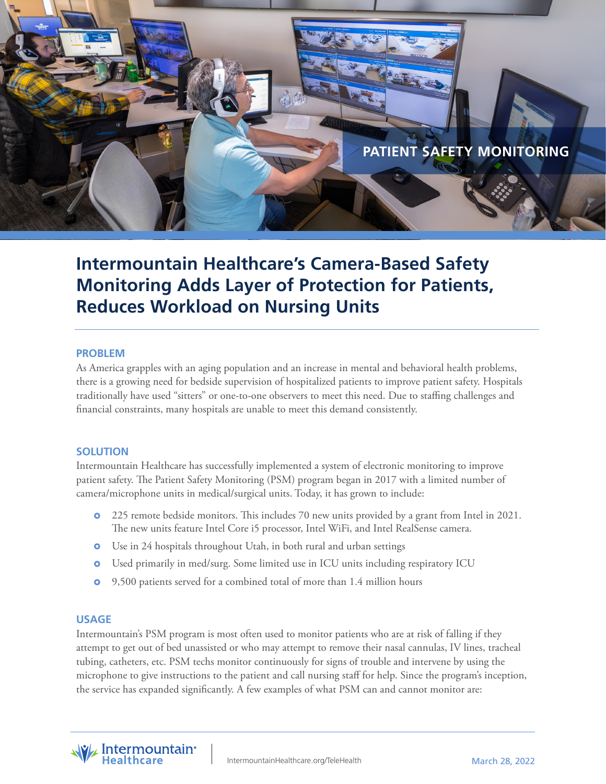

# **Intermountain Healthcare's Camera-Based Safety Monitoring Adds Layer of Protection for Patients, Reduces Workload on Nursing Units**

#### **PROBLEM**

As America grapples with an aging population and an increase in mental and behavioral health problems, there is a growing need for bedside supervision of hospitalized patients to improve patient safety. Hospitals traditionally have used "sitters" or one-to-one observers to meet this need. Due to staffing challenges and financial constraints, many hospitals are unable to meet this demand consistently.

## **SOLUTION**

Intermountain Healthcare has successfully implemented a system of electronic monitoring to improve patient safety. The Patient Safety Monitoring (PSM) program began in 2017 with a limited number of camera/microphone units in medical/surgical units. Today, it has grown to include:

- **•** 225 remote bedside monitors. This includes 70 new units provided by a grant from Intel in 2021. The new units feature Intel Core i5 processor, Intel WiFi, and Intel RealSense camera.
- **o** Use in 24 hospitals throughout Utah, in both rural and urban settings
- Used primarily in med/surg. Some limited use in ICU units including respiratory ICU
- 9,500 patients served for a combined total of more than 1.4 million hours

#### **USAGE**

Intermountain's PSM program is most often used to monitor patients who are at risk of falling if they attempt to get out of bed unassisted or who may attempt to remove their nasal cannulas, IV lines, tracheal tubing, catheters, etc. PSM techs monitor continuously for signs of trouble and intervene by using the microphone to give instructions to the patient and call nursing staff for help. Since the program's inception, the service has expanded significantly. A few examples of what PSM can and cannot monitor are:

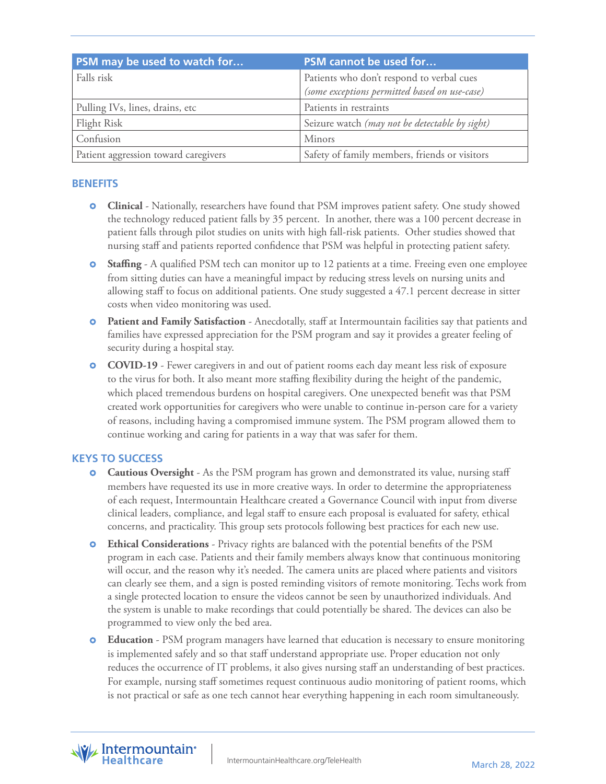| PSM may be used to watch for         | PSM cannot be used for                         |
|--------------------------------------|------------------------------------------------|
| Falls risk                           | Patients who don't respond to verbal cues      |
|                                      | (some exceptions permitted based on use-case)  |
| Pulling IVs, lines, drains, etc      | Patients in restraints                         |
| Flight Risk                          | Seizure watch (may not be detectable by sight) |
| Confusion                            | Minors                                         |
| Patient aggression toward caregivers | Safety of family members, friends or visitors  |

# **BENEFITS**

- **Clinical** Nationally, researchers have found that PSM improves patient safety. One study showed the technology reduced patient falls by 35 percent. In another, there was a 100 percent decrease in patient falls through pilot studies on units with high fall-risk patients. Other studies showed that nursing staff and patients reported confidence that PSM was helpful in protecting patient safety.
- **Staffing** A qualified PSM tech can monitor up to 12 patients at a time. Freeing even one employee from sitting duties can have a meaningful impact by reducing stress levels on nursing units and allowing staff to focus on additional patients. One study suggested a 47.1 percent decrease in sitter costs when video monitoring was used.
- **Patient and Family Satisfaction** Anecdotally, staff at Intermountain facilities say that patients and families have expressed appreciation for the PSM program and say it provides a greater feeling of security during a hospital stay.
- **COVID-19** Fewer caregivers in and out of patient rooms each day meant less risk of exposure to the virus for both. It also meant more staffing flexibility during the height of the pandemic, which placed tremendous burdens on hospital caregivers. One unexpected benefit was that PSM created work opportunities for caregivers who were unable to continue in-person care for a variety of reasons, including having a compromised immune system. The PSM program allowed them to continue working and caring for patients in a way that was safer for them.

# **KEYS TO SUCCESS**

- **Cautious Oversight** As the PSM program has grown and demonstrated its value, nursing staff members have requested its use in more creative ways. In order to determine the appropriateness of each request, Intermountain Healthcare created a Governance Council with input from diverse clinical leaders, compliance, and legal staff to ensure each proposal is evaluated for safety, ethical concerns, and practicality. This group sets protocols following best practices for each new use.
- **Ethical Considerations** Privacy rights are balanced with the potential benefits of the PSM program in each case. Patients and their family members always know that continuous monitoring will occur, and the reason why it's needed. The camera units are placed where patients and visitors can clearly see them, and a sign is posted reminding visitors of remote monitoring. Techs work from a single protected location to ensure the videos cannot be seen by unauthorized individuals. And the system is unable to make recordings that could potentially be shared. The devices can also be programmed to view only the bed area.
- **C Education** PSM program managers have learned that education is necessary to ensure monitoring is implemented safely and so that staff understand appropriate use. Proper education not only reduces the occurrence of IT problems, it also gives nursing staff an understanding of best practices. For example, nursing staff sometimes request continuous audio monitoring of patient rooms, which is not practical or safe as one tech cannot hear everything happening in each room simultaneously.

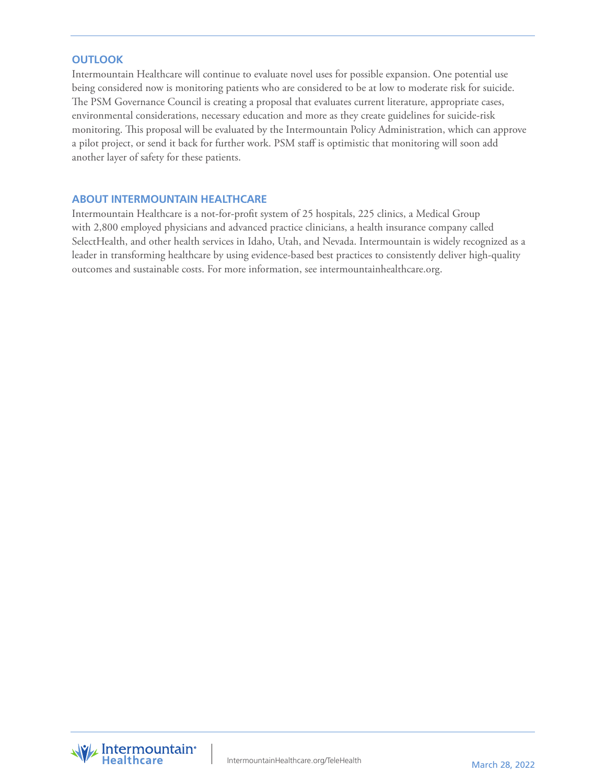## **OUTLOOK**

Intermountain Healthcare will continue to evaluate novel uses for possible expansion. One potential use being considered now is monitoring patients who are considered to be at low to moderate risk for suicide. The PSM Governance Council is creating a proposal that evaluates current literature, appropriate cases, environmental considerations, necessary education and more as they create guidelines for suicide-risk monitoring. This proposal will be evaluated by the Intermountain Policy Administration, which can approve a pilot project, or send it back for further work. PSM staff is optimistic that monitoring will soon add another layer of safety for these patients.

## **ABOUT INTERMOUNTAIN HEALTHCARE**

Intermountain Healthcare is a not-for-profit system of 25 hospitals, 225 clinics, a Medical Group with 2,800 employed physicians and advanced practice clinicians, a health insurance company called SelectHealth, and other health services in Idaho, Utah, and Nevada. Intermountain is widely recognized as a leader in transforming healthcare by using evidence-based best practices to consistently deliver high-quality outcomes and sustainable costs. For more information, see intermountainhealthcare.org.